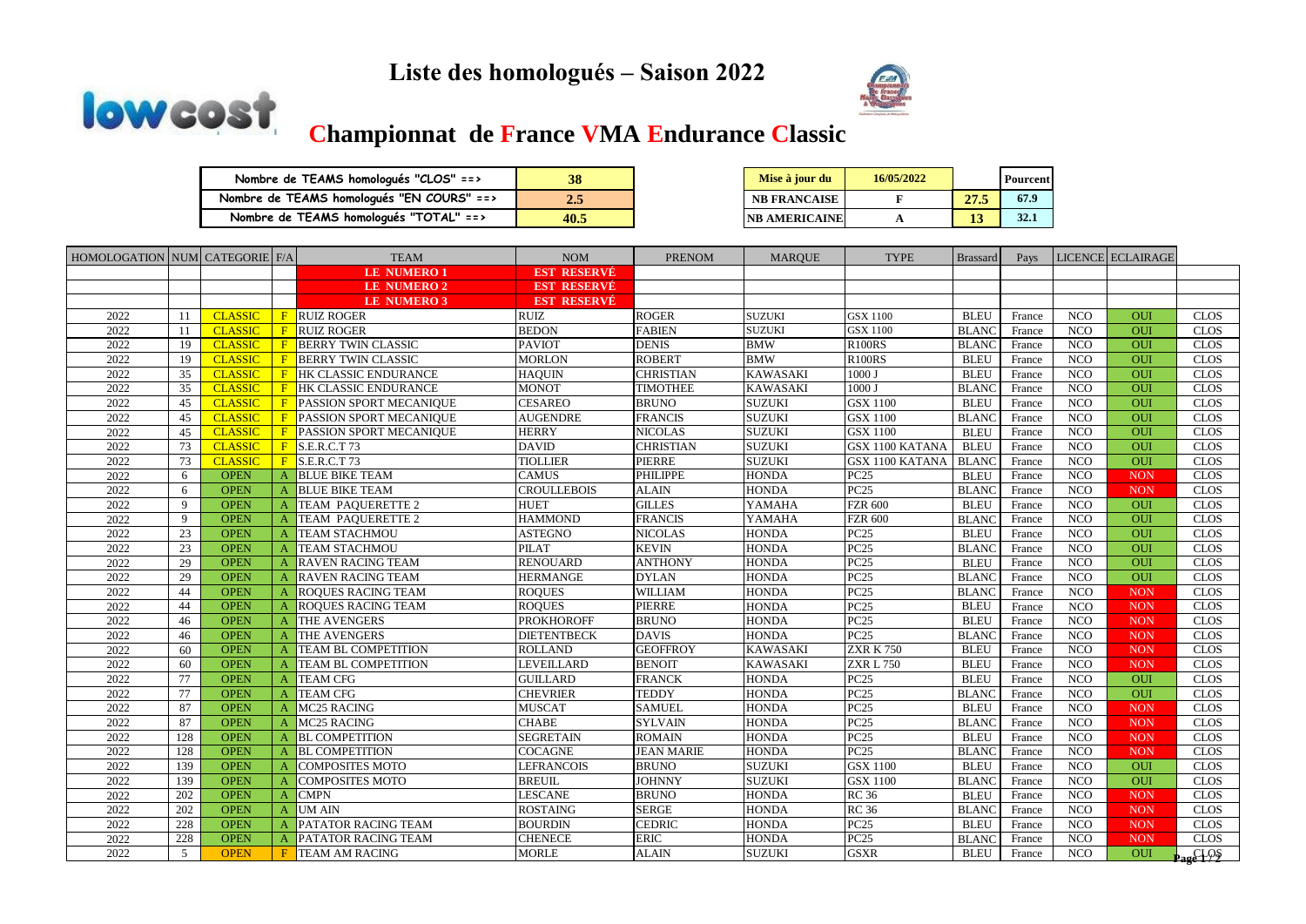## **Liste des homologués – Saison 2022**





## **Championnat de France VMA Endurance Classic**

| Nombre de TEAMS homologués "CLOS" ==>     | 38   |
|-------------------------------------------|------|
| Nombre de TEAMS homologués "EN COURS" ==> | 2.5  |
| Nombre de TEAMS homologués "TOTAL" ==>    | 40.5 |

| 38   | Mise à jour du       | 16/05/2022 |      | <b>Pourcent</b> |
|------|----------------------|------------|------|-----------------|
| 2.5  | <b>NB FRANCAISE</b>  |            | 27.5 | 67.9            |
| 40.5 | <b>NB AMERICAINE</b> |            | 13   | 32.1            |

| HOMOLOGATION NUM CATEGORIE F/A |              |                |              | <b>TEAM</b>                | <b>NOM</b>         | <b>PRENOM</b>     | <b>MARQUE</b>   | <b>TYPE</b>           | <b>Brassard</b> | Pays   |            | LICENCE ECLAIRAGE |             |
|--------------------------------|--------------|----------------|--------------|----------------------------|--------------------|-------------------|-----------------|-----------------------|-----------------|--------|------------|-------------------|-------------|
|                                |              |                |              | <b>LE NUMERO1</b>          | <b>EST RESERVÉ</b> |                   |                 |                       |                 |        |            |                   |             |
|                                |              |                |              | <b>LE NUMERO 2</b>         | <b>EST RESERVÉ</b> |                   |                 |                       |                 |        |            |                   |             |
|                                |              |                |              | <b>LE NUMERO 3</b>         | <b>EST RESERVÉ</b> |                   |                 |                       |                 |        |            |                   |             |
| 2022                           | 11           | <b>CLASSIC</b> | F            | <b>RUIZ ROGER</b>          | <b>RUIZ</b>        | <b>ROGER</b>      | <b>SUZUKI</b>   | <b>GSX 1100</b>       | <b>BLEU</b>     | France | <b>NCO</b> | <b>OUI</b>        | <b>CLOS</b> |
| 2022                           | 11           | <b>CLASSIC</b> | F            | <b>RUIZ ROGER</b>          | <b>BEDON</b>       | <b>FABIEN</b>     | <b>SUZUKI</b>   | GSX 1100              | <b>BLANC</b>    | France | NCO        | OUI               | <b>CLOS</b> |
| 2022                           | 19           | <b>CLASSIC</b> | F            | <b>BERRY TWIN CLASSIC</b>  | <b>PAVIOT</b>      | <b>DENIS</b>      | <b>BMW</b>      | <b>R100RS</b>         | <b>BLANC</b>    | France | <b>NCO</b> | OUI               | <b>CLOS</b> |
| 2022                           | 19           | <b>CLASSIC</b> | F            | <b>BERRY TWIN CLASSIC</b>  | <b>MORLON</b>      | <b>ROBERT</b>     | <b>BMW</b>      | <b>R100RS</b>         | <b>BLEU</b>     | France | <b>NCO</b> | OUI               | <b>CLOS</b> |
| 2022                           | 35           | <b>CLASSIC</b> |              | HK CLASSIC ENDURANCE       | <b>HAOUIN</b>      | <b>CHRISTIAN</b>  | <b>KAWASAKI</b> | 1000 J                | <b>BLEU</b>     | France | <b>NCO</b> | OUI               | <b>CLOS</b> |
| 2022                           | 35           | <b>CLASSIC</b> |              | HK CLASSIC ENDURANCE       | <b>MONOT</b>       | <b>TIMOTHEE</b>   | <b>KAWASAKI</b> | 1000 J                | <b>BLANC</b>    | France | <b>NCO</b> | OUI               | <b>CLOS</b> |
| 2022                           | 45           | <b>CLASSIC</b> |              | PASSION SPORT MECANIQUE    | <b>CESAREO</b>     | <b>BRUNO</b>      | <b>SUZUKI</b>   | <b>GSX 1100</b>       | <b>BLEU</b>     | France | <b>NCO</b> | OUI               | <b>CLOS</b> |
| 2022                           | 45           | <b>CLASSIC</b> | F            | PASSION SPORT MECANIQUE    | <b>AUGENDRE</b>    | <b>FRANCIS</b>    | <b>SUZUKI</b>   | GSX 1100              | <b>BLANC</b>    | France | <b>NCO</b> | <b>OUI</b>        | <b>CLOS</b> |
| 2022                           | 45           | <b>CLASSIC</b> |              | PASSION SPORT MECANIQUE    | <b>HERRY</b>       | <b>NICOLAS</b>    | <b>SUZUKI</b>   | GSX 1100              | <b>BLEU</b>     | France | <b>NCO</b> | OUI               | <b>CLOS</b> |
| 2022                           | 73           | <b>CLASSIC</b> | F            | S.E.R.C.T 73               | <b>DAVID</b>       | <b>CHRISTIAN</b>  | <b>SUZUKI</b>   | GSX 1100 KATANA       | <b>BLEU</b>     | France | <b>NCO</b> | OUI               | <b>CLOS</b> |
| 2022                           | 73           | <b>CLASSIC</b> | F            | S.E.R.C.T.73               | <b>TIOLLIER</b>    | PIERRE            | <b>SUZUKI</b>   | GSX 1100 KATANA       | <b>BLANC</b>    | France | <b>NCO</b> | OUI               | <b>CLOS</b> |
| 2022                           | 6            | <b>OPEN</b>    | $\mathsf{A}$ | <b>BLUE BIKE TEAM</b>      | <b>CAMUS</b>       | <b>PHILIPPE</b>   | <b>HONDA</b>    | PC <sub>25</sub>      | <b>BLEU</b>     | France | NCO        | <b>NON</b>        | <b>CLOS</b> |
| 2022                           | 6            | <b>OPEN</b>    |              | <b>BLUE BIKE TEAM</b>      | <b>CROULLEBOIS</b> | <b>ALAIN</b>      | <b>HONDA</b>    | PC <sub>25</sub>      | <b>BLANC</b>    | France | NCO        | <b>NON</b>        | <b>CLOS</b> |
| 2022                           | $\mathbf{Q}$ | <b>OPEN</b>    |              | TEAM PAQUERETTE 2          | <b>HUET</b>        | <b>GILLES</b>     | YAMAHA          | <b>FZR 600</b>        | <b>BLEU</b>     | France | <b>NCO</b> | OUI               | <b>CLOS</b> |
| 2022                           | 9            | <b>OPEN</b>    |              | TEAM PAQUERETTE 2          | <b>HAMMOND</b>     | <b>FRANCIS</b>    | YAMAHA          | <b>FZR 600</b>        | <b>BLANC</b>    | France | <b>NCO</b> | OUI               | <b>CLOS</b> |
| 2022                           | 23           | <b>OPEN</b>    | $\mathbf{A}$ | <b>TEAM STACHMOU</b>       | <b>ASTEGNO</b>     | <b>NICOLAS</b>    | <b>HONDA</b>    | PC <sub>25</sub>      | <b>BLEU</b>     | France | NCO        | OUI               | <b>CLOS</b> |
| 2022                           | 23           | <b>OPEN</b>    | A            | <b>TEAM STACHMOU</b>       | <b>PILAT</b>       | <b>KEVIN</b>      | <b>HONDA</b>    | PC <sub>25</sub>      | <b>BLANC</b>    | France | <b>NCO</b> | OUI               | <b>CLOS</b> |
| 2022                           | 29           | <b>OPEN</b>    |              | <b>RAVEN RACING TEAM</b>   | <b>RENOUARD</b>    | <b>ANTHONY</b>    | <b>HONDA</b>    | PC <sub>25</sub>      | <b>BLEU</b>     | France | <b>NCO</b> | <b>OUI</b>        | <b>CLOS</b> |
| 2022                           | 29           | <b>OPEN</b>    |              | <b>RAVEN RACING TEAM</b>   | <b>HERMANGE</b>    | <b>DYLAN</b>      | <b>HONDA</b>    | PC <sub>25</sub>      | <b>BLANC</b>    | France | <b>NCO</b> | OUI               | <b>CLOS</b> |
| 2022                           | 44           | <b>OPEN</b>    | A            | <b>ROQUES RACING TEAM</b>  | <b>ROOUES</b>      | <b>WILLIAM</b>    | <b>HONDA</b>    | PC <sub>25</sub>      | <b>BLANC</b>    | France | <b>NCO</b> | <b>NON</b>        | <b>CLOS</b> |
| 2022                           | 44           | <b>OPEN</b>    |              | <b>ROQUES RACING TEAM</b>  | <b>ROOUES</b>      | <b>PIERRE</b>     | <b>HONDA</b>    | PC <sub>25</sub>      | <b>BLEU</b>     | France | <b>NCO</b> | <b>NON</b>        | <b>CLOS</b> |
| 2022                           | 46           | <b>OPEN</b>    | A            | THE AVENGERS               | <b>PROKHOROFF</b>  | <b>BRUNO</b>      | <b>HONDA</b>    | PC <sub>25</sub>      | <b>BLEU</b>     | France | <b>NCO</b> | <b>NON</b>        | <b>CLOS</b> |
| 2022                           | 46           | <b>OPEN</b>    |              | THE AVENGERS               | <b>DIETENTBECK</b> | <b>DAVIS</b>      | <b>HONDA</b>    | PC <sub>25</sub>      | <b>BLANC</b>    | France | <b>NCO</b> | <b>NON</b>        | <b>CLOS</b> |
| 2022                           | 60           | <b>OPEN</b>    | A            | TEAM BL COMPETITION        | <b>ROLLAND</b>     | <b>GEOFFROY</b>   | <b>KAWASAKI</b> | <b>ZXR K750</b>       | <b>BLEU</b>     | France | <b>NCO</b> | <b>NON</b>        | <b>CLOS</b> |
| 2022                           | 60           | <b>OPEN</b>    | $\mathsf{A}$ | <b>TEAM BL COMPETITION</b> | <b>LEVEILLARD</b>  | <b>BENOIT</b>     | <b>KAWASAKI</b> | <b>ZXR L 750</b>      | <b>BLEU</b>     | France | <b>NCO</b> | <b>NON</b>        | <b>CLOS</b> |
| 2022                           | 77           | <b>OPEN</b>    | A            | <b>TEAM CFG</b>            | <b>GUILLARD</b>    | <b>FRANCK</b>     | <b>HONDA</b>    | PC <sub>25</sub>      | <b>BLEU</b>     | France | <b>NCO</b> | OUI               | <b>CLOS</b> |
| 2022                           | 77           | <b>OPEN</b>    | A            | <b>TEAM CFG</b>            | <b>CHEVRIER</b>    | <b>TEDDY</b>      | <b>HONDA</b>    | PC <sub>25</sub>      | <b>BLANC</b>    | France | NCO        | OUI               | <b>CLOS</b> |
| 2022                           | 87           | <b>OPEN</b>    | $\mathbf{A}$ | MC <sub>25</sub> RACING    | <b>MUSCAT</b>      | <b>SAMUEL</b>     | <b>HONDA</b>    | PC25                  | <b>BLEU</b>     | France | <b>NCO</b> | <b>NON</b>        | <b>CLOS</b> |
| 2022                           | 87           | <b>OPEN</b>    | $\mathbf{A}$ | <b>MC25 RACING</b>         | <b>CHABE</b>       | <b>SYLVAIN</b>    | <b>HONDA</b>    | PC <sub>25</sub>      | <b>BLANC</b>    | France | <b>NCO</b> | <b>NON</b>        | <b>CLOS</b> |
| 2022                           | 128          | <b>OPEN</b>    |              | <b>BL COMPETITION</b>      | <b>SEGRETAIN</b>   | <b>ROMAIN</b>     | <b>HONDA</b>    | PC <sub>25</sub>      | <b>BLEU</b>     | France | <b>NCO</b> | <b>NON</b>        | <b>CLOS</b> |
| 2022                           | 128          | <b>OPEN</b>    | A            | <b>BL COMPETITION</b>      | <b>COCAGNE</b>     | <b>JEAN MARIE</b> | <b>HONDA</b>    | PC25                  | <b>BLANC</b>    | France | <b>NCO</b> | <b>NON</b>        | <b>CLOS</b> |
| 2022                           | 139          | <b>OPEN</b>    | A            | <b>COMPOSITES MOTO</b>     | <b>LEFRANCOIS</b>  | <b>BRUNO</b>      | <b>SUZUKI</b>   | <b>GSX 1100</b>       | <b>BLEU</b>     | France | <b>NCO</b> | OUI               | <b>CLOS</b> |
| 2022                           | 139          | <b>OPEN</b>    | A            | <b>COMPOSITES MOTO</b>     | <b>BREUIL</b>      | <b>JOHNNY</b>     | <b>SUZUKI</b>   | $\overline{GS}X$ 1100 | <b>BLANC</b>    | France | <b>NCO</b> | OUI               | <b>CLOS</b> |
| 2022                           | 202          | <b>OPEN</b>    | A            | <b>CMPN</b>                | <b>LESCANE</b>     | <b>BRUNO</b>      | <b>HONDA</b>    | <b>RC 36</b>          | <b>BLEU</b>     | France | <b>NCO</b> | <b>NON</b>        | <b>CLOS</b> |
| 2022                           | 202          | <b>OPEN</b>    | $\mathbf{A}$ | UM AIN                     | <b>ROSTAING</b>    | <b>SERGE</b>      | <b>HONDA</b>    | <b>RC 36</b>          | <b>BLANC</b>    | France | <b>NCO</b> | <b>NON</b>        | <b>CLOS</b> |
| 2022                           | 228          | <b>OPEN</b>    | $\mathsf{A}$ | <b>PATATOR RACING TEAM</b> | <b>BOURDIN</b>     | <b>CEDRIC</b>     | <b>HONDA</b>    | PC <sub>25</sub>      | <b>BLEU</b>     | France | <b>NCO</b> | <b>NON</b>        | <b>CLOS</b> |
| 2022                           | 228          | <b>OPEN</b>    | A            | <b>PATATOR RACING TEAM</b> | <b>CHENECE</b>     | <b>ERIC</b>       | <b>HONDA</b>    | PC25                  | <b>BLANC</b>    | France | <b>NCO</b> | <b>NON</b>        | <b>CLOS</b> |
| 2022                           | 5            | <b>OPEN</b>    |              | <b>TEAM AM RACING</b>      | <b>MORLE</b>       | <b>ALAIN</b>      | <b>SUZUKI</b>   | <b>GSXR</b>           | <b>BLEU</b>     | France | <b>NCO</b> | <b>OUI</b>        | $G_F$       |